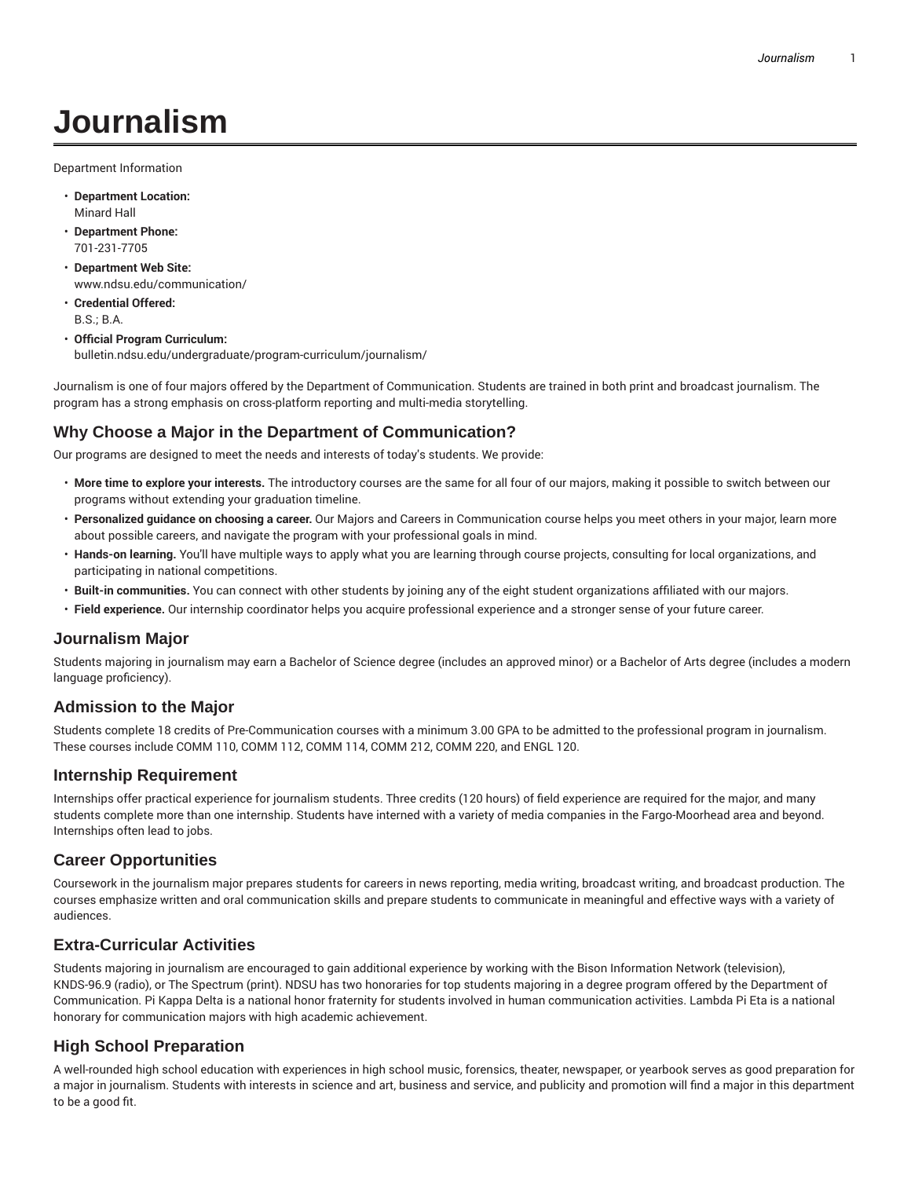# **Journalism**

Department Information

- **Department Location:** Minard Hall
- **Department Phone:** 701-231-7705
- **Department Web Site:** www.ndsu.edu/communication/
- **Credential Offered:** B.S.; B.A.
- **Official Program Curriculum:** bulletin.ndsu.edu/undergraduate/program-curriculum/journalism/

Journalism is one of four majors offered by the Department of Communication. Students are trained in both print and broadcast journalism. The program has a strong emphasis on cross-platform reporting and multi-media storytelling.

## **Why Choose a Major in the Department of Communication?**

Our programs are designed to meet the needs and interests of today's students. We provide:

- **More time to explore your interests.** The introductory courses are the same for all four of our majors, making it possible to switch between our programs without extending your graduation timeline.
- **Personalized guidance on choosing a career.** Our Majors and Careers in Communication course helps you meet others in your major, learn more about possible careers, and navigate the program with your professional goals in mind.
- **Hands-on learning.** You'll have multiple ways to apply what you are learning through course projects, consulting for local organizations, and participating in national competitions.
- **Built-in communities.** You can connect with other students by joining any of the eight student organizations affiliated with our majors.
- **Field experience.** Our internship coordinator helps you acquire professional experience and a stronger sense of your future career.

#### **Journalism Major**

Students majoring in journalism may earn a Bachelor of Science degree (includes an approved minor) or a Bachelor of Arts degree (includes a modern language proficiency).

#### **Admission to the Major**

Students complete 18 credits of Pre-Communication courses with a minimum 3.00 GPA to be admitted to the professional program in journalism. These courses include COMM 110, COMM 112, COMM 114, COMM 212, COMM 220, and ENGL 120.

#### **Internship Requirement**

Internships offer practical experience for journalism students. Three credits (120 hours) of field experience are required for the major, and many students complete more than one internship. Students have interned with a variety of media companies in the Fargo-Moorhead area and beyond. Internships often lead to jobs.

## **Career Opportunities**

Coursework in the journalism major prepares students for careers in news reporting, media writing, broadcast writing, and broadcast production. The courses emphasize written and oral communication skills and prepare students to communicate in meaningful and effective ways with a variety of audiences.

## **Extra-Curricular Activities**

Students majoring in journalism are encouraged to gain additional experience by working with the Bison Information Network (television), KNDS-96.9 (radio), or The Spectrum (print). NDSU has two honoraries for top students majoring in a degree program offered by the Department of Communication. Pi Kappa Delta is a national honor fraternity for students involved in human communication activities. Lambda Pi Eta is a national honorary for communication majors with high academic achievement.

## **High School Preparation**

A well-rounded high school education with experiences in high school music, forensics, theater, newspaper, or yearbook serves as good preparation for a major in journalism. Students with interests in science and art, business and service, and publicity and promotion will find a major in this department to be a good fit.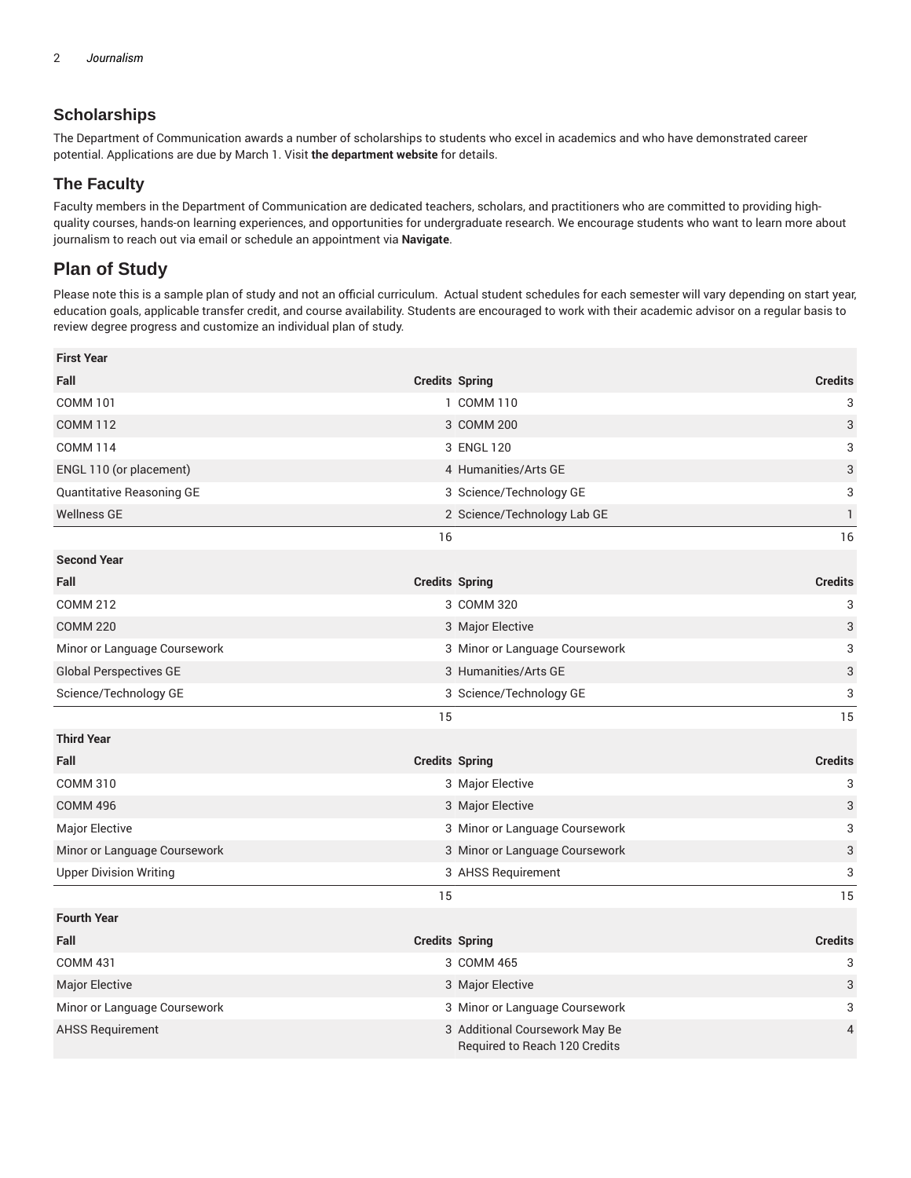# **Scholarships**

The Department of Communication awards a number of scholarships to students who excel in academics and who have demonstrated career potential. Applications are due by March 1. Visit **the department website** for details.

## **The Faculty**

Faculty members in the Department of Communication are dedicated teachers, scholars, and practitioners who are committed to providing highquality courses, hands-on learning experiences, and opportunities for undergraduate research. We encourage students who want to learn more about journalism to reach out via email or schedule an appointment via **Navigate**.

# **Plan of Study**

Please note this is a sample plan of study and not an official curriculum. Actual student schedules for each semester will vary depending on start year, education goals, applicable transfer credit, and course availability. Students are encouraged to work with their academic advisor on a regular basis to review degree progress and customize an individual plan of study.

| <b>First Year</b>             |                       |                                                                 |                           |
|-------------------------------|-----------------------|-----------------------------------------------------------------|---------------------------|
| Fall                          |                       | <b>Credits Spring</b>                                           | <b>Credits</b>            |
| <b>COMM 101</b>               |                       | 1 COMM 110                                                      | 3                         |
| <b>COMM 112</b>               |                       | 3 COMM 200                                                      | 3                         |
| <b>COMM 114</b>               |                       | 3 ENGL 120                                                      | 3                         |
| ENGL 110 (or placement)       |                       | 4 Humanities/Arts GE                                            | 3                         |
| Quantitative Reasoning GE     |                       | 3 Science/Technology GE                                         | 3                         |
| <b>Wellness GE</b>            |                       | 2 Science/Technology Lab GE                                     | $\mathbf{1}$              |
|                               | 16                    |                                                                 | 16                        |
| <b>Second Year</b>            |                       |                                                                 |                           |
| Fall                          | <b>Credits Spring</b> |                                                                 | <b>Credits</b>            |
| <b>COMM 212</b>               |                       | 3 COMM 320                                                      | 3                         |
| <b>COMM 220</b>               |                       | 3 Major Elective                                                | 3                         |
| Minor or Language Coursework  |                       | 3 Minor or Language Coursework                                  | 3                         |
| <b>Global Perspectives GE</b> |                       | 3 Humanities/Arts GE                                            | $\ensuremath{\mathsf{3}}$ |
| Science/Technology GE         |                       | 3 Science/Technology GE                                         | 3                         |
|                               | 15                    |                                                                 | 15                        |
| <b>Third Year</b>             |                       |                                                                 |                           |
| Fall                          | <b>Credits Spring</b> |                                                                 | <b>Credits</b>            |
| <b>COMM 310</b>               |                       | 3 Major Elective                                                | 3                         |
| <b>COMM 496</b>               |                       | 3 Major Elective                                                | 3                         |
| Major Elective                |                       | 3 Minor or Language Coursework                                  | 3                         |
| Minor or Language Coursework  |                       | 3 Minor or Language Coursework                                  | $\ensuremath{\mathsf{3}}$ |
| <b>Upper Division Writing</b> |                       | 3 AHSS Requirement                                              | 3                         |
|                               | 15                    |                                                                 | 15                        |
| <b>Fourth Year</b>            |                       |                                                                 |                           |
| Fall                          | <b>Credits Spring</b> |                                                                 | <b>Credits</b>            |
| <b>COMM 431</b>               |                       | 3 COMM 465                                                      | 3                         |
| Major Elective                |                       | 3 Major Elective                                                | 3                         |
| Minor or Language Coursework  |                       | 3 Minor or Language Coursework                                  | 3                         |
| <b>AHSS Requirement</b>       |                       | 3 Additional Coursework May Be<br>Required to Reach 120 Credits | 4                         |